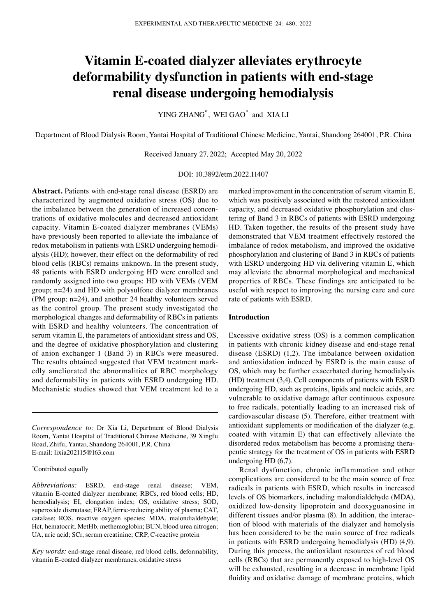# **Vitamin E‑coated dialyzer alleviates erythrocyte deformability dysfunction in patients with end‑stage renal disease undergoing hemodialysis**

YING ZHANG<sup>\*</sup>, WEI GAO<sup>\*</sup> and XIA LI

Department of Blood Dialysis Room, Yantai Hospital of Traditional Chinese Medicine, Yantai, Shandong 264001, P.R. China

Received January 27, 2022; Accepted May 20, 2022

#### DOI: 10.3892/etm.2022.11407

**Abstract.** Patients with end‑stage renal disease (ESRD) are characterized by augmented oxidative stress (OS) due to the imbalance between the generation of increased concentrations of oxidative molecules and decreased antioxidant capacity. Vitamin E‑coated dialyzer membranes (VEMs) have previously been reported to alleviate the imbalance of redox metabolism in patients with ESRD undergoing hemodialysis (HD); however, their effect on the deformability of red blood cells (RBCs) remains unknown. In the present study, 48 patients with ESRD undergoing HD were enrolled and randomly assigned into two groups: HD with VEMs (VEM group; n=24) and HD with polysulfone dialyzer membranes (PM group; n=24), and another 24 healthy volunteers served as the control group. The present study investigated the morphological changes and deformability of RBCs in patients with ESRD and healthy volunteers. The concentration of serum vitamin E, the parameters of antioxidant stress and OS, and the degree of oxidative phosphorylation and clustering of anion exchanger 1 (Band 3) in RBCs were measured. The results obtained suggested that VEM treatment markedly ameliorated the abnormalities of RBC morphology and deformability in patients with ESRD undergoing HD. Mechanistic studies showed that VEM treatment led to a

*Correspondence to:* Dr Xia Li, Department of Blood Dialysis Room, Yantai Hospital of Traditional Chinese Medicine, 39 Xingfu Road, Zhifu, Yantai, Shandong 264001, P.R. China E‑mail: lixia202115@163.com

## \* Contributed equally

*Abbreviations:* ESRD, end‑stage renal disease; VEM, vitamin E‑coated dialyzer membrane; RBCs, red blood cells; HD, hemodialysis; EI, elongation index; OS, oxidative stress; SOD, superoxide dismutase; FRAP, ferric‑reducing ability of plasma; CAT, catalase; ROS, reactive oxygen species; MDA, malondialdehyde; Hct, hematocrit; MetHb, methemoglobin; BUN, blood urea nitrogen; UA, uric acid; SCr, serum creatinine; CRP, C‑reactive protein

*Key words:* end‑stage renal disease, red blood cells, deformability, vitamin E‑coated dialyzer membranes, oxidative stress

marked improvement in the concentration of serum vitamin E, which was positively associated with the restored antioxidant capacity, and decreased oxidative phosphorylation and clustering of Band 3 in RBCs of patients with ESRD undergoing HD. Taken together, the results of the present study have demonstrated that VEM treatment effectively restored the imbalance of redox metabolism, and improved the oxidative phosphorylation and clustering of Band 3 in RBCs of patients with ESRD undergoing HD via delivering vitamin E, which may alleviate the abnormal morphological and mechanical properties of RBCs. These findings are anticipated to be useful with respect to improving the nursing care and cure rate of patients with ESRD.

#### **Introduction**

Excessive oxidative stress (OS) is a common complication in patients with chronic kidney disease and end‑stage renal disease (ESRD) (1,2). The imbalance between oxidation and antioxidation induced by ESRD is the main cause of OS, which may be further exacerbated during hemodialysis (HD) treatment (3,4). Cell components of patients with ESRD undergoing HD, such as proteins, lipids and nucleic acids, are vulnerable to oxidative damage after continuous exposure to free radicals, potentially leading to an increased risk of cardiovascular disease (5). Therefore, either treatment with antioxidant supplements or modification of the dialyzer (e.g. coated with vitamin E) that can effectively alleviate the disordered redox metabolism has become a promising therapeutic strategy for the treatment of OS in patients with ESRD undergoing HD (6,7).

Renal dysfunction, chronic inflammation and other complications are considered to be the main source of free radicals in patients with ESRD, which results in increased levels of OS biomarkers, including malondialdehyde (MDA), oxidized low‑density lipoprotein and deoxyguanosine in different tissues and/or plasma (8). In addition, the interaction of blood with materials of the dialyzer and hemolysis has been considered to be the main source of free radicals in patients with ESRD undergoing hemodialysis (HD) (4,9). During this process, the antioxidant resources of red blood cells (RBCs) that are permanently exposed to high-level OS will be exhausted, resulting in a decrease in membrane lipid fluidity and oxidative damage of membrane proteins, which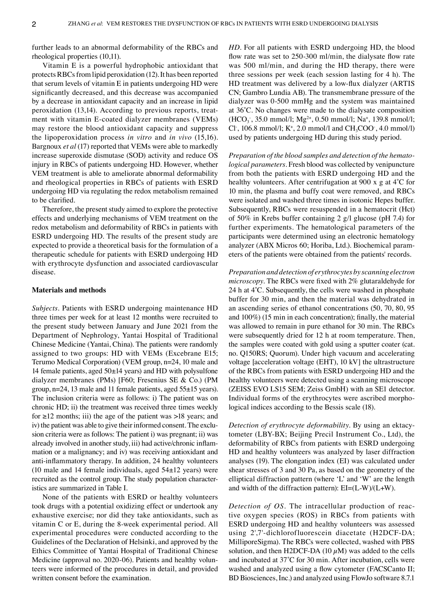further leads to an abnormal deformability of the RBCs and rheological properties (10,11).

Vitamin E is a powerful hydrophobic antioxidant that protects RBCs from lipid peroxidation (12). It has been reported that serum levels of vitamin E in patients undergoing HD were significantly decreased, and this decrease was accompanied by a decrease in antioxidant capacity and an increase in lipid peroxidation (13,14). According to previous reports, treatment with vitamin E-coated dialyzer membranes (VEMs) may restore the blood antioxidant capacity and suppress the lipoperoxidation process *in vitro* and *in vivo* (15,16). Bargnoux *et al* (17) reported that VEMs were able to markedly increase superoxide dismutase (SOD) activity and reduce OS injury in RBCs of patients undergoing HD. However, whether VEM treatment is able to ameliorate abnormal deformability and rheological properties in RBCs of patients with ESRD undergoing HD via regulating the redox metabolism remained to be clarified.

Therefore, the present study aimed to explore the protective effects and underlying mechanisms of VEM treatment on the redox metabolism and deformability of RBCs in patients with ESRD undergoing HD. The results of the present study are expected to provide a theoretical basis for the formulation of a therapeutic schedule for patients with ESRD undergoing HD with erythrocyte dysfunction and associated cardiovascular disease.

## **Materials and methods**

*Subjects.* Patients with ESRD undergoing maintenance HD three times per week for at least 12 months were recruited to the present study between January and June 2021 from the Department of Nephrology, Yantai Hospital of Traditional Chinese Medicine (Yantai, China). The patients were randomly assigned to two groups: HD with VEMs (Excebrane E15; Terumo Medical Corporation) (VEM group, n=24, 10 male and 14 female patients, aged  $50±14$  years) and HD with polysulfone dialyzer membranes (PMs) [F60; Fresenius SE & Co.) (PM group, n=24, 13 male and 11 female patients, aged 55±15 years). The inclusion criteria were as follows: i) The patient was on chronic HD; ii) the treatment was received three times weekly for  $\geq$ 12 months; iii) the age of the patient was  $>$ 18 years; and iv) the patient was able to give their informed consent. The exclusion criteria were as follows: The patient i) was pregnant; ii) was already involved in another study, iii) had active/chronic inflammation or a malignancy; and iv) was receiving antioxidant and anti-inflammatory therapy. In addition, 24 healthy volunteers (10 male and 14 female individuals, aged 54±12 years) were recruited as the control group. The study population characteristics are summarized in Table I.

None of the patients with ESRD or healthy volunteers took drugs with a potential oxidizing effect or undertook any exhaustive exercise; nor did they take antioxidants, such as vitamin C or E, during the 8‑week experimental period. All experimental procedures were conducted according to the Guidelines of the Declaration of Helsinki, and approved by the Ethics Committee of Yantai Hospital of Traditional Chinese Medicine (approval no. 2020-06). Patients and healthy volunteers were informed of the procedures in detail, and provided written consent before the examination.

*HD.* For all patients with ESRD undergoing HD, the blood flow rate was set to 250-300 ml/min, the dialysate flow rate was 500 ml/min, and during the HD therapy, there were three sessions per week (each session lasting for 4 h). The HD treatment was delivered by a low‑flux dialyzer (ARTIS CN; Gambro Lundia AB). The transmembrane pressure of the dialyzer was 0‑500 mmHg and the system was maintained at 36˚C. No changes were made to the dialysate composition  $(HCO<sub>3</sub>$ , 35.0 mmol/l;  $Mg<sup>2+</sup>$ , 0.50 mmol/l; Na<sup>+</sup>, 139.8 mmol/l; Cl, 106.8 mmol/l;  $K^+$ , 2.0 mmol/l and  $CH_3COO$ , 4.0 mmol/l) used by patients undergoing HD during this study period.

*Preparation of the blood samples and detection of the hematological parameters.* Fresh blood was collected by venipuncture from both the patients with ESRD undergoing HD and the healthy volunteers. After centrifugation at 900 x g at 4<sup>°</sup>C for 10 min, the plasma and buffy coat were removed, and RBCs were isolated and washed three times in isotonic Hepes buffer. Subsequently, RBCs were resuspended in a hematocrit (Hct) of 50% in Krebs buffer containing 2 g/l glucose (pH 7.4) for further experiments. The hematological parameters of the participants were determined using an electronic hematology analyzer (ABX Micros 60; Horiba, Ltd.). Biochemical param‑ eters of the patients were obtained from the patients' records.

*Preparation and detection of erythrocytes by scanning electron microscopy.* The RBCs were fixed with 2% glutaraldehyde for 24 h at 4˚C. Subsequently, the cells were washed in phosphate buffer for 30 min, and then the material was dehydrated in an ascending series of ethanol concentrations (50, 70, 80, 95 and 100%) (15 min in each concentration); finally, the material was allowed to remain in pure ethanol for 30 min. The RBCs were subsequently dried for 12 h at room temperature. Then, the samples were coated with gold using a sputter coater (cat. no. Q150RS; Quorum). Under high vacuum and accelerating voltage [acceleration voltage (EHT), 10 kV] the ultrastructure of the RBCs from patients with ESRD undergoing HD and the healthy volunteers were detected using a scanning microscope (ZEISS EVO LS15 SEM; Zeiss GmbH) with an SE1 detector. Individual forms of the erythrocytes were ascribed morphological indices according to the Bessis scale (18).

*Detection of erythrocyte deformability*. By using an ektacytometer (LBY‑BX; Beijing Precil Instrument Co., Ltd), the deformability of RBCs from patients with ESRD undergoing HD and healthy volunteers was analyzed by laser diffraction analyses (19). The elongation index (EI) was calculated under shear stresses of 3 and 30 Pa, as based on the geometry of the elliptical diffraction pattern (where 'L' and 'W' are the length and width of the diffraction pattern):  $EI=(L-W)/(L+W)$ .

*Detection of OS.* The intracellular production of reactive oxygen species (ROS) in RBCs from patients with ESRD undergoing HD and healthy volunteers was assessed using 2',7'‑dichlorofluorescein diacetate (H2DCF‑DA; MilliporeSigma). The RBCs were collected, washed with PBS solution, and then H2DCF-DA (10  $\mu$ M) was added to the cells and incubated at 37˚C for 30 min. After incubation, cells were washed and analyzed using a flow cytometer (FACSCanto II; BD Biosciences, Inc.) and analyzed using FlowJo software 8.7.1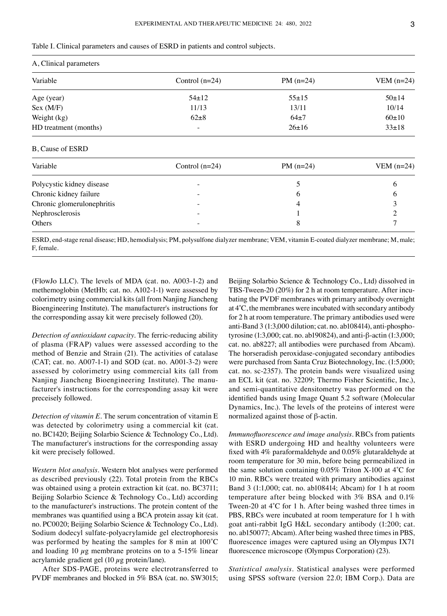|  |  | Table I. Clinical parameters and causes of ESRD in patients and control subjects. |  |  |  |  |  |
|--|--|-----------------------------------------------------------------------------------|--|--|--|--|--|
|--|--|-----------------------------------------------------------------------------------|--|--|--|--|--|

| A, Clinical parameters |                   |             |              |  |  |
|------------------------|-------------------|-------------|--------------|--|--|
| Variable               | Control $(n=24)$  | PM $(n=24)$ | VEM $(n=24)$ |  |  |
| Age (year)             | $54 \pm 12$       | $55 \pm 15$ | $50 \pm 14$  |  |  |
| Sex (M/F)              | 11/13             | 13/11       | 10/14        |  |  |
| Weight (kg)            | $62\pm8$          | $64+7$      | $60+10$      |  |  |
| HD treatment (months)  | $\qquad \qquad =$ | $26 \pm 16$ | $33 \pm 18$  |  |  |

#### B, Cause of ESRD

| Variable                   | Control $(n=24)$         | PM $(n=24)$ | VEM $(n=24)$ |  |
|----------------------------|--------------------------|-------------|--------------|--|
| Polycystic kidney disease  |                          |             |              |  |
| Chronic kidney failure     | $\overline{\phantom{0}}$ | O           |              |  |
| Chronic glomerulonephritis | $\overline{\phantom{0}}$ |             |              |  |
| Nephrosclerosis            |                          |             |              |  |
| Others                     | $\overline{\phantom{0}}$ |             |              |  |

ESRD, end-stage renal disease; HD, hemodialysis; PM, polysulfone dialyzer membrane; VEM, vitamin E-coated dialyzer membrane; M, male; F, female.

(FlowJo LLC). The levels of MDA (cat. no. A003‑1‑2) and methemoglobin (MetHb; cat. no. A102-1-1) were assessed by colorimetry using commercial kits (all from Nanjing Jiancheng Bioengineering Institute). The manufacturer's instructions for the corresponding assay kit were precisely followed (20).

*Detection of antioxidant capacity.* The ferric‑reducing ability of plasma (FRAP) values were assessed according to the method of Benzie and Strain (21). The activities of catalase  $(CAT; cat. no. A007-1-1)$  and SOD (cat. no. A001-3-2) were assessed by colorimetry using commercial kits (all from Nanjing Jiancheng Bioengineering Institute). The manufacturer's instructions for the corresponding assay kit were preceisely followed.

*Detection of vitamin E.* The serum concentration of vitamin E was detected by colorimetry using a commercial kit (cat. no. BC1420; Beijing Solarbio Science & Technology Co., Ltd). The manufacturer's instructions for the corresponding assay kit were precisely followed.

*Western blot analysis.* Western blot analyses were performed as described previously (22). Total protein from the RBCs was obtained using a protein extraction kit (cat. no. BC3711; Beijing Solarbio Science & Technology Co., Ltd) according to the manufacturer's instructions. The protein content of the membranes was quantified using a BCA protein assay kit (cat. no. PC0020; Beijing Solarbio Science & Technology Co., Ltd). Sodium dodecyl sulfate‑polyacrylamide gel electrophoresis was performed by heating the samples for 8 min at 100˚C and loading 10  $\mu$ g membrane proteins on to a 5-15% linear acrylamide gradient gel (10  $\mu$ g protein/lane).

After SDS‑PAGE, proteins were electrotransferred to PVDF membranes and blocked in 5% BSA (cat. no. SW3015;

Beijing Solarbio Science & Technology Co., Ltd) dissolved in TBS-Tween-20 (20%) for 2 h at room temperature. After incubating the PVDF membranes with primary antibody overnight at 4˚C, the membranes were incubated with secondary antibody for 2 h at room temperature. The primary antibodies used were anti-Band 3 (1:3,000 dilution; cat. no. ab108414), anti-phosphotyrosine (1:3,000; cat. no. ab190824), and anti‑β‑actin (1:3,000; cat. no. ab8227; all antibodies were purchased from Abcam). The horseradish peroxidase-conjugated secondary antibodies were purchased from Santa Cruz Biotechnology, Inc. (1:5,000; cat. no. sc‑2357). The protein bands were visualized using an ECL kit (cat. no. 32209; Thermo Fisher Scientific, Inc.), and semi‑quantitative densitometry was performed on the identified bands using Image Quant 5.2 software (Molecular Dynamics, Inc.). The levels of the proteins of interest were normalized against those of β‑actin.

*Immunofluorescence and image analysis.* RBCs from patients with ESRD undergoing HD and healthy volunteers were fixed with 4% paraformaldehyde and 0.05% glutaraldehyde at room temperature for 30 min, before being permeabilized in the same solution containing  $0.05\%$  Triton X-100 at 4°C for 10 min. RBCs were treated with primary antibodies against Band 3 (1:1,000; cat. no. ab108414; Abcam) for 1 h at room temperature after being blocked with 3% BSA and 0.1% Tween-20 at 4°C for 1 h. After being washed three times in PBS, RBCs were incubated at room temperature for 1 h with goat anti‑rabbit IgG H&L secondary antibody (1:200; cat. no. ab150077; Abcam). After being washed three times in PBS, fluorescence images were captured using an Olympus IX71 fluorescence microscope (Olympus Corporation) (23).

*Statistical analysis.* Statistical analyses were performed using SPSS software (version 22.0; IBM Corp.). Data are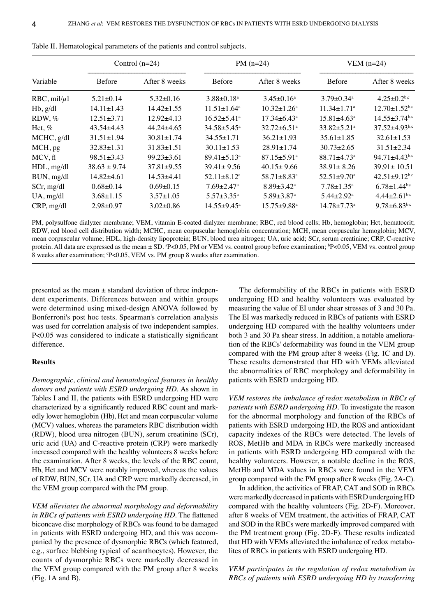|                      | Control $(n=24)$ |                  | PM $(n=24)$                   |                               | VEM $(n=24)$                  |                                 |
|----------------------|------------------|------------------|-------------------------------|-------------------------------|-------------------------------|---------------------------------|
| Variable             | <b>Before</b>    | After 8 weeks    | <b>Before</b>                 | After 8 weeks                 | <b>Before</b>                 | After 8 weeks                   |
| $RBC$ , mil/ $\mu$ l | $5.21 \pm 0.14$  | $5.32 \pm 0.16$  | $3.88 \pm 0.18$ <sup>a</sup>  | $3.45 \pm 0.16^a$             | $3.79 \pm 0.34$ <sup>a</sup>  | $4.25 \pm 0.2$ <sup>b,c</sup>   |
| $Hb$ , $g/dl$        | $14.11 \pm 1.43$ | $14.42 \pm 1.55$ | $11.51 \pm 1.64$ <sup>a</sup> | $10.32 \pm 1.26^{\circ}$      | $11.34 \pm 1.71$ <sup>a</sup> | $12.70 \pm 1.52$ <sup>b,c</sup> |
| RDW, $%$             | $12.51 \pm 3.71$ | $12.92\pm4.13$   | $16.52 \pm 5.41$ <sup>a</sup> | $17.34 \pm 6.43^{\circ}$      | $15.81 \pm 4.63$ <sup>a</sup> | $14.55 \pm 3.74$ <sup>b,c</sup> |
| Hct, $%$             | $43.54 \pm 4.43$ | $44.24 \pm 4.65$ | $34.58 \pm 5.45^{\circ}$      | $32.72 \pm 6.51$ <sup>a</sup> | $33.82 \pm 5.21$ <sup>a</sup> | $37.52 \pm 4.93$ <sub>b,c</sub> |
| MCHC, g/dl           | $31.51 \pm 1.94$ | $30.81 \pm 1.74$ | $34.55 \pm 1.71$              | $36.21 \pm 1.93$              | $35.61 \pm 1.85$              | $32.61 \pm 1.53$                |
| MCH, pg              | $32.83 \pm 1.31$ | $31.83 \pm 1.51$ | $30.11 \pm 1.53$              | $28.91 \pm 1.74$              | $30.73 \pm 2.65$              | $31.51 \pm 2.34$                |
| MCV, fl              | $98.51 \pm 3.43$ | $99.23 \pm 3.61$ | $89.41 \pm 5.13$ <sup>a</sup> | $87.15 \pm 5.91$ <sup>a</sup> | $88.71 \pm 4.73$ <sup>a</sup> | $94.71 \pm 4.43$ <sup>b,c</sup> |
| HDL, mg/dl           | $38.63 \pm 9.74$ | $37.81 \pm 9.55$ | $39.41 \pm 9.56$              | $40.15 \pm 9.66$              | $38.91 \pm 8.26$              | $39.91 \pm 10.51$               |
| BUN, mg/dl           | $14.82{\pm}4.61$ | $14.53 + 4.41$   | $52.11 \pm 8.12^a$            | $58.71 \pm 8.83$ <sup>a</sup> | $52.51 \pm 9.70$ <sup>a</sup> | $42.51 \pm 9.12$ <sup>b,c</sup> |
| $SCr$ , mg/dl        | $0.68 \pm 0.14$  | $0.69 \pm 0.15$  | $7.69 \pm 2.47$ <sup>a</sup>  | $8.89 \pm 3.42$ <sup>a</sup>  | $7.78 \pm 1.35^{\text{a}}$    | $6.78 \pm 1.44$ <sup>b,c</sup>  |
| $UA$ , mg/dl         | $3.68 \pm 1.15$  | $3.57 \pm 1.05$  | $5.57 \pm 3.35^{\text{a}}$    | $5.89 \pm 3.87$ <sup>a</sup>  | $5.44 \pm 2.92$ <sup>a</sup>  | $4.44 \pm 2.61$ <sub>b,c</sub>  |
| CRP, mg/dl           | $2.98 + 0.97$    | $3.02 \pm 0.86$  | $14.55 \pm 9.45^{\text{a}}$   | $15.75 \pm 9.88$ <sup>a</sup> | $14.78 \pm 7.73$ <sup>a</sup> | $9.78 \pm 6.83$ <sup>b,c</sup>  |

Table II. Hematological parameters of the patients and control subjects.

PM, polysulfone dialyzer membrane; VEM, vitamin E-coated dialyzer membrane; RBC, red blood cells; Hb, hemoglobin; Hct, hematocrit; RDW, red blood cell distribution width; MCHC, mean corpuscular hemoglobin concentration; MCH, mean corpuscular hemoglobin; MCV, mean corpuscular volume; HDL, high-density lipoprotein; BUN, blood urea nitrogen; UA, uric acid; SCr, serum creatinine; CRP, C-reactive protein. All data are expressed as the mean ± SD. <sup>a</sup>P<0.05, PM or VEM vs. control group before examination; <sup>b</sup>P<0.05, VEM vs. control group 8 weeks after examination; °P<0.05, VEM vs. PM group 8 weeks after examination.

presented as the mean  $\pm$  standard deviation of three independent experiments. Differences between and within groups were determined using mixed-design ANOVA followed by Bonferroni's post hoc tests. Spearman's correlation analysis was used for correlation analysis of two independent samples. P<0.05 was considered to indicate a statistically significant difference.

## **Results**

*Demographic, clinical and hematological features in healthy donors and patients with ESRD undergoing HD.* As shown in Tables I and II, the patients with ESRD undergoing HD were characterized by a significantly reduced RBC count and markedly lower hemoglobin (Hb), Hct and mean corpuscular volume (MCV) values, whereas the parameters RBC distribution width (RDW), blood urea nitrogen (BUN), serum creatinine (SCr), uric acid (UA) and C‑reactive protein (CRP) were markedly increased compared with the healthy volunteers 8 weeks before the examination. After 8 weeks, the levels of the RBC count, Hb, Hct and MCV were notably improved, whereas the values of RDW, BUN, SCr, UA and CRP were markedly decreased, in the VEM group compared with the PM group.

*VEM alleviates the abnormal morphology and deformability in RBCs of patients with ESRD undergoing HD.* The flattened biconcave disc morphology of RBCs was found to be damaged in patients with ESRD undergoing HD, and this was accompanied by the presence of dysmorphic RBCs (which featured, e.g., surface blebbing typical of acanthocytes). However, the counts of dysmorphic RBCs were markedly decreased in the VEM group compared with the PM group after 8 weeks (Fig. 1A and B).

The deformability of the RBCs in patients with ESRD undergoing HD and healthy volunteers was evaluated by measuring the value of EI under shear stresses of 3 and 30 Pa. The EI was markedly reduced in RBCs of patients with ESRD undergoing HD compared with the healthy volunteers under both 3 and 30 Pa shear stress. In addition, a notable amelioration of the RBCs' deformability was found in the VEM group compared with the PM group after 8 weeks (Fig. 1C and D). These results demonstrated that HD with VEMs alleviated the abnormalities of RBC morphology and deformability in patients with ESRD undergoing HD.

*VEM restores the imbalance of redox metabolism in RBCs of patients with ESRD undergoing HD.* To investigate the reason for the abnormal morphology and function of the RBCs of patients with ESRD undergoing HD, the ROS and antioxidant capacity indexes of the RBCs were detected. The levels of ROS, MetHb and MDA in RBCs were markedly increased in patients with ESRD undergoing HD compared with the healthy volunteers. However, a notable decline in the ROS, MetHb and MDA values in RBCs were found in the VEM group compared with the PM group after 8 weeks (Fig. 2A‑C).

In addition, the activities of FRAP, CAT and SOD in RBCs were markedly decreased in patients with ESRD undergoing HD compared with the healthy volunteers (Fig. 2D‑F). Moreover, after 8 weeks of VEM treatment, the activities of FRAP, CAT and SOD in the RBCs were markedly improved compared with the PM treatment group (Fig. 2D‑F). These results indicated that HD with VEMs alleviated the imbalance of redox metabolites of RBCs in patients with ESRD undergoing HD.

*VEM participates in the regulation of redox metabolism in RBCs of patients with ESRD undergoing HD by transferring*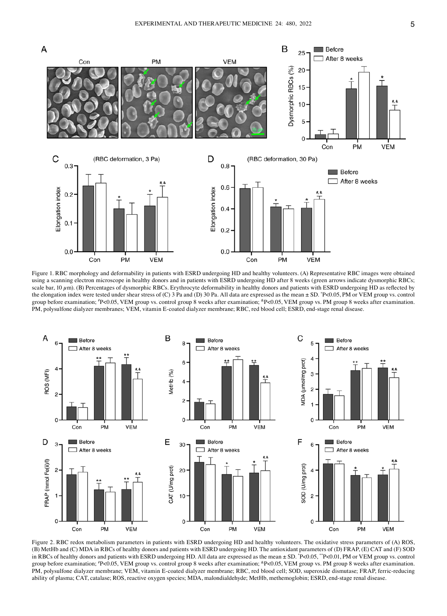

Figure 1. RBC morphology and deformability in patients with ESRD undergoing HD and healthy volunteers. (A) Representative RBC images were obtained using a scanning electron microscope in healthy donors and in patients with ESRD undergoing HD after 8 weeks (green arrows indicate dysmorphic RBCs; scale bar,  $10 \mu m$ ). (B) Percentages of dysmorphic RBCs. Erythrocyte deformability in healthy donors and patients with ESRD undergoing HD as reflected by the elongation index were tested under shear stress of (C) 3 Pa and (D) 30 Pa. All data are expressed as the mean ± SD. \* P<0.05, PM or VEM group vs. control group before examination; # P<0.05, VEM group vs. control group 8 weeks after examination; &P<0.05, VEM group vs. PM group 8 weeks after examination. PM, polysulfone dialyzer membranes; VEM, vitamin E-coated dialyzer membrane; RBC, red blood cell; ESRD, end-stage renal disease.



Figure 2. RBC redox metabolism parameters in patients with ESRD undergoing HD and healthy volunteers. The oxidative stress parameters of (A) ROS, (B) MetHb and (C) MDA in RBCs of healthy donors and patients with ESRD undergoing HD. The antioxidant parameters of (D) FRAP, (E) CAT and (F) SOD in RBCs of healthy donors and patients with ESRD undergoing HD. All data are expressed as the mean ± SD. \*P<0.05, \*\*P<0.01, PM or VEM group vs. control group before examination; <sup>#</sup>P<0.05, VEM group vs. control group 8 weeks after examination; <sup>&</sup>P<0.05, VEM group vs. PM group 8 weeks after examination. PM, polysulfone dialyzer membrane; VEM, vitamin E-coated dialyzer membrane; RBC, red blood cell; SOD, superoxide dismutase; FRAP, ferric-reducing ability of plasma; CAT, catalase; ROS, reactive oxygen species; MDA, malondialdehyde; MetHb, methemoglobin; ESRD, end-stage renal disease.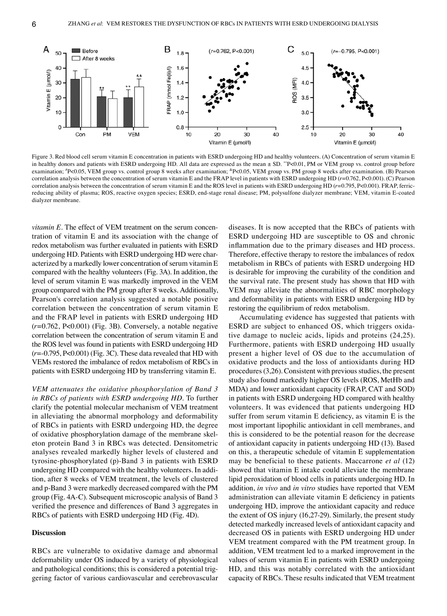

Figure 3. Red blood cell serum vitamin E concentration in patients with ESRD undergoing HD and healthy volunteers. (A) Concentration of serum vitamin E in healthy donors and patients with ESRD undergoing HD. All data are expressed as the mean  $\pm$  SD. \*\*P<0.01, PM or VEM group vs. control group before examination; "P<0.05, VEM group vs. control group 8 weeks after examination; "P<0.05, VEM group vs. PM group 8 weeks after examination. (B) Pearson correlation analysis between the concentration of serum vitamin E and the FRAP level in patients with ESRD undergoing HD (*r*=0.762, P<0.001). (C) Pearson correlation analysis between the concentration of serum vitamin E and the ROS level in patients with ESRD undergoing HD (*r*=0.795, P<0.001). FRAP, ferricreducing ability of plasma; ROS, reactive oxygen species; ESRD, end-stage renal disease; PM, polysulfone dialyzer membrane; VEM, vitamin E-coated dialyzer membrane.

*vitamin* E. The effect of VEM treatment on the serum concentration of vitamin E and its association with the change of redox metabolism was further evaluated in patients with ESRD undergoing HD. Patients with ESRD undergoing HD were characterized by a markedly lower concentration of serum vitamin E compared with the healthy volunteers (Fig. 3A). In addition, the level of serum vitamin E was markedly improved in the VEM group compared with the PM group after 8 weeks. Additionally, Pearson's correlation analysis suggested a notable positive correlation between the concentration of serum vitamin E and the FRAP level in patients with ESRD undergoing HD (*r*=0.762, P<0.001) (Fig. 3B). Conversely, a notable negative correlation between the concentration of serum vitamin E and the ROS level was found in patients with ESRD undergoing HD  $(r=0.795, P<0.001)$  (Fig. 3C). These data revealed that HD with VEMs restored the imbalance of redox metabolism of RBCs in patients with ESRD undergoing HD by transferring vitamin E.

*VEM attenuates the oxidative phosphorylation of Band 3 in RBCs of patients with ESRD undergoing HD.* To further clarify the potential molecular mechanism of VEM treatment in alleviating the abnormal morphology and deformability of RBCs in patients with ESRD undergoing HD, the degree of oxidative phosphorylation damage of the membrane skeleton protein Band 3 in RBCs was detected. Densitometric analyses revealed markedly higher levels of clustered and tyrosine‑phosphorylated (p)‑Band 3 in patients with ESRD undergoing HD compared with the healthy volunteers. In addition, after 8 weeks of VEM treatment, the levels of clustered and p‑Band 3 were markedly decreased compared with the PM group (Fig. 4A‑C). Subsequent microscopic analysis of Band 3 verified the presence and differences of Band 3 aggregates in RBCs of patients with ESRD undergoing HD (Fig. 4D).

#### **Discussion**

RBCs are vulnerable to oxidative damage and abnormal deformability under OS induced by a variety of physiological and pathological conditions; this is considered a potential triggering factor of various cardiovascular and cerebrovascular diseases. It is now accepted that the RBCs of patients with ESRD undergoing HD are susceptible to OS and chronic inflammation due to the primary diseases and HD process. Therefore, effective therapy to restore the imbalances of redox metabolism in RBCs of patients with ESRD undergoing HD is desirable for improving the curability of the condition and the survival rate. The present study has shown that HD with VEM may alleviate the abnormalities of RBC morphology and deformability in patients with ESRD undergoing HD by restoring the equilibrium of redox metabolism.

Accumulating evidence has suggested that patients with ESRD are subject to enhanced OS, which triggers oxidative damage to nucleic acids, lipids and proteins (24,25). Furthermore, patients with ESRD undergoing HD usually present a higher level of OS due to the accumulation of oxidative products and the loss of antioxidants during HD procedures(3,26). Consistent with previous studies, the present study also found markedly higher OS levels (ROS, MetHb and MDA) and lower antioxidant capacity (FRAP, CAT and SOD) in patients with ESRD undergoing HD compared with healthy volunteers. It was evidenced that patients undergoing HD suffer from serum vitamin E deficiency, as vitamin E is the most important lipophilic antioxidant in cell membranes, and this is considered to be the potential reason for the decrease of antioxidant capacity in patients undergoing HD (13). Based on this, a therapeutic schedule of vitamin E supplementation may be beneficial to these patients. Maccarrone *et al* (12) showed that vitamin E intake could alleviate the membrane lipid peroxidation of blood cells in patients undergoing HD. In addition, *in vivo* and *in vitro* studies have reported that VEM administration can alleviate vitamin E deficiency in patients undergoing HD, improve the antioxidant capacity and reduce the extent of OS injury (16,27‑29). Similarly, the present study detected markedly increased levels of antioxidant capacity and decreased OS in patients with ESRD undergoing HD under VEM treatment compared with the PM treatment group. In addition, VEM treatment led to a marked improvement in the values of serum vitamin E in patients with ESRD undergoing HD, and this was notably correlated with the antioxidant capacity of RBCs. These results indicated that VEM treatment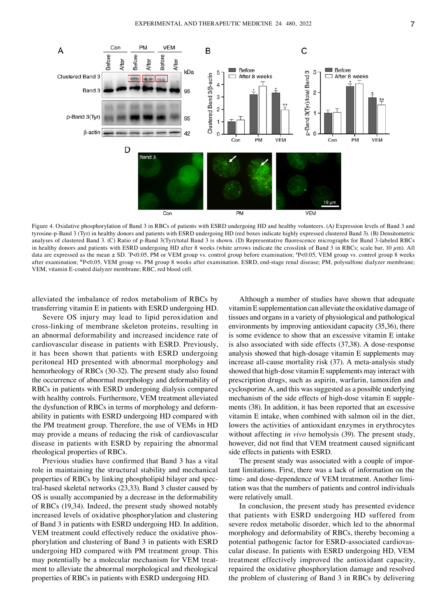

Figure 4. Oxidative phosphorylation of Band 3 in RBCs of patients with ESRD undergoing HD and healthy volunteers. (A) Expression levels of Band 3 and tyrosine-p‑Band 3 (Tyr) in healthy donors and patients with ESRD undergoing HD (red boxes indicate highly expressed clustered Band 3). (B) Densitometric analyses of clustered Band 3. (C) Ratio of p-Band 3(Tyr)/total Band 3 is shown. (D) Representative fluorescence micrographs for Band 3-labeled RBCs in healthy donors and patients with ESRD undergoing HD after 8 weeks (white arrows indicate the crosslink of Band 3 in RBCs; scale bar, 10  $\mu$ m). All data are expressed as the mean ± SD. \*P<0.05, PM or VEM group vs. control group before examination; \*P<0.05, VEM group vs. control group 8 weeks after examination; &P<0.05, VEM group vs. PM group 8 weeks after examination. ESRD, end-stage renal disease; PM, polysulfone dialyzer membrane; VEM, vitamin E-coated dialyzer membrane; RBC, red blood cell.

alleviated the imbalance of redox metabolism of RBCs by transferring vitamin E in patients with ESRD undergoing HD.

Severe OS injury may lead to lipid peroxidation and cross‑linking of membrane skeleton proteins, resulting in an abnormal deformability and increased incidence rate of cardiovascular disease in patients with ESRD. Previously, it has been shown that patients with ESRD undergoing peritoneal HD presented with abnormal morphology and hemorheology of RBCs (30-32). The present study also found the occurrence of abnormal morphology and deformability of RBCs in patients with ESRD undergoing dialysis compared with healthy controls. Furthermore, VEM treatment alleviated the dysfunction of RBCs in terms of morphology and deformability in patients with ESRD undergoing HD compared with the PM treatment group. Therefore, the use of VEMs in HD may provide a means of reducing the risk of cardiovascular disease in patients with ESRD by repairing the abnormal rheological properties of RBCs.

Previous studies have confirmed that Band 3 has a vital role in maintaining the structural stability and mechanical properties of RBCs by linking phospholipid bilayer and spec‑ tral-based skeletal networks (23,33). Band 3 cluster caused by OS is usually accompanied by a decrease in the deformability of RBCs (19,34). Indeed, the present study showed notably increased levels of oxidative phosphorylation and clustering of Band 3 in patients with ESRD undergoing HD. In addition, VEM treatment could effectively reduce the oxidative phosphorylation and clustering of Band 3 in patients with ESRD undergoing HD compared with PM treatment group. This may potentially be a molecular mechanism for VEM treatment to alleviate the abnormal morphological and rheological properties of RBCs in patients with ESRD undergoing HD.

Although a number of studies have shown that adequate vitaminE supplementation can alleviate the oxidative damage of tissues and organs in a variety of physiological and pathological environments by improving antioxidant capacity (35,36), there is some evidence to show that an excessive vitamin E intake is also associated with side effects (37,38). A dose-response analysis showed that high-dosage vitamin E supplements may increase all-cause mortality risk (37). A meta-analysis study showed that high-dose vitamin E supplements may interact with prescription drugs, such as aspirin, warfarin, tamoxifen and cyclosporine A, and this was suggested as a possible underlying mechanism of the side effects of high-dose vitamin E supplements (38). In addition, it has been reported that an excessive vitamin E intake, when combined with salmon oil in the diet, lowers the activities of antioxidant enzymes in erythrocytes without affecting *in vivo* hemolysis (39). The present study, however, did not find that VEM treatment caused significant side effects in patients with ESRD.

The present study was associated with a couple of important limitations. First, there was a lack of information on the time- and dose-dependence of VEM treatment. Another limitation was that the numbers of patients and control individuals were relatively small.

In conclusion, the present study has presented evidence that patients with ESRD undergoing HD suffered from severe redox metabolic disorder, which led to the abnormal morphology and deformability of RBCs, thereby becoming a potential pathogenic factor for ESRD-associated cardiovascular disease. In patients with ESRD undergoing HD, VEM treatment effectively improved the antioxidant capacity, repaired the oxidative phosphorylation damage and resolved the problem of clustering of Band 3 in RBCs by delivering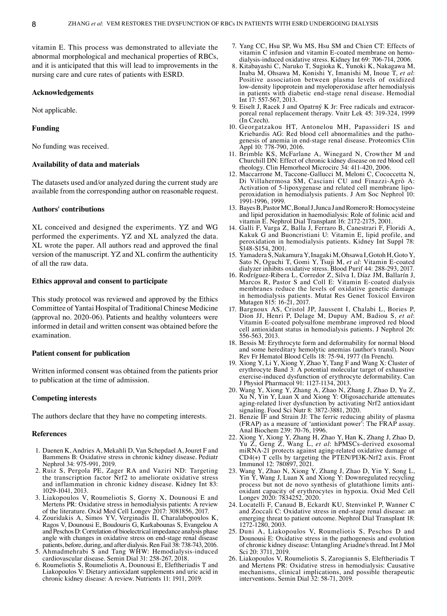vitamin E. This process was demonstrated to alleviate the abnormal morphological and mechanical properties of RBCs, and it is anticipated that this will lead to improvements in the nursing care and cure rates of patients with ESRD.

## **Acknowledgements**

Not applicable.

## **Funding**

No funding was received.

#### **Availability of data and materials**

The datasets used and/or analyzed during the current study are available from the corresponding author on reasonable request.

## **Authors' contributions**

XL conceived and designed the experiments. YZ and WG performed the experiments. YZ and XL analyzed the data. XL wrote the paper. All authors read and approved the final version of the manuscript. YZ and XL confirm the authenticity of all the raw data.

# **Ethics approval and consent to participate**

This study protocol was reviewed and approved by the Ethics Committee of Yantai Hospital of Traditional Chinese Medicine (approval no. 2020‑06). Patients and healthy volunteers were informed in detail and written consent was obtained before the examination.

## **Patient consent for publication**

Written informed consent was obtained from the patients prior to publication at the time of admission.

#### **Competing interests**

The authors declare that they have no competing interests.

#### **References**

- 1. Daenen K, Andries A, Mekahli D, Van Schepdael A, Jouret F and Bammens B: Oxidative stress in chronic kidney disease. Pediatr Nephrol 34: 975‑991, 2019.
- 2. Ruiz S, Pergola PE, Zager RA and Vaziri ND: Targeting the transcription factor Nrf2 to ameliorate oxidative stress and inflammation in chronic kidney disease. Kidney Int 83: 1029‑1041, 2013.
- 3. Liakopoulos V, Roumeliotis S, Gorny X, Dounousi E and Mertens PR: Oxidative stress in hemodialysis patients: A review of the literature. Oxid Med Cell Longev 2017: 3081856, 2017.
- 4. Zouridakis A, Simos YV, Verginadis II, Charalabopoulos K, Ragos V, Dounousi E, Boudouris G, Karkabounas S, Evangelou A and Peschos D: Correlation of bioelectrical impedance analysis phase angle with changes in oxidative stress on end‑stage renal disease patients, before, during, and after dialysis. Ren Fail 38: 738‑743, 2016.
- 5. Ahmadmehrabi S and Tang WHW: Hemodialysis‑induced cardiovascular disease. Semin Dial 31: 258‑267, 2018.
- 6. Roumeliotis S, Roumeliotis A, Dounousi E, Eleftheriadis T and Liakopoulos V: Dietary antioxidant supplements and uric acid in chronic kidney disease: A review. Nutrients 11: 1911, 2019.
- 7. Yang CC, Hsu SP, Wu MS, Hsu SM and Chien CT: Effects of dialysis-induced oxidative stress. Kidney Int 69: 706–714, 2006.
- 8. Kitabayashi C, Naruko T, Sugioka K, Yunoki K, Nakagawa M, Inaba M, Ohsawa M, Konishi Y, Imanishi M, Inoue T, et al: Positive association between plasma levels of oxidized low‑density lipoprotein and myeloperoxidase after hemodialysis in patients with diabetic end‑stage renal disease. Hemodial Int 17: 557-567, 2013.<br>9. Eiselt J, Racek J and Opatrný K Jr: Free radicals and extracor-
- Pressue, Free radical Separators and Opatricist Christmas and Pressue renal replacement therapy. Vnitr Lek 45: 319–324, 1999 (In Czech).
- 10. Georgatzakou HT, Antonelou MH, Papassideri IS and genesis of anemia in end-stage renal disease. Proteomics Clin Appl 10: 778‑790, 2016.
- 11. Brimble KS, McFarlane A, Winegard N, Crowther M and Churchill DN: Effect of chronic kidney disease on red blood cell rheology. Clin Hemorheol Microcirc 34: 411‑420, 2006.
- 12. Maccarrone M, Taccone‑Gallucci M, Meloni C, Cococcetta N, Di Villahermosa SM, Casciani CU and Finazzi‑Agrò A: Activation of 5-lipoxygenase and related cell membrane lipoperoxidation in hemodialysis patients. J Am Soc Nephrol 10: 1991‑1996, 1999.
- 13. Bayes B, Pastor MC, BonalJ, Junca J and RomeroR: Homocysteine and lipid peroxidation in haemodialysis: Role of folinic acid and vitamin E. Nephrol Dial Transplant 16: 2172‑2175, 2001.
- 14. Galli F, Varga Z, Balla J, Ferraro B, Canestrari F, Floridi A, Kakuk G and Buoncristiani U: Vitamin E, lipid profile, and peroxidation in hemodialysis patients. Kidney Int Suppl 78: S148‑S154, 2001.
- 15. Yamadera S, Nakamura Y, Inagaki M, Ohsawa I, Gotoh H, Goto Y, Sato N, Oguchi T, Gomi Y, Tsuji M, *et al*: Vitamin E‑coated dialyzer inhibits oxidative stress. Blood Purif 44: 288‑293, 2017.
- 16. Rodríguez‑Ribera L, Corredor Z, Silva I, Díaz JM, Ballarín J, Marcos R, Pastor S and Coll E: Vitamin E‑coated dialysis membranes reduce the levels of oxidative genetic damage in hemodialysis patients. Mutat Res Genet Toxicol Environ Mutagen 815: 16‑21, 2017.
- 17. Bargnoux AS, Cristol JP, Jaussent I, Chalabi L, Bories P, Dion JJ, Henri P, Delage M, Dupuy AM, Badiou S, *et al*: Vitamin E‑coated polysulfone membrane improved red blood cell antioxidant status in hemodialysis patients. J Nephrol 26: 556‑563, 2013.
- 18. Bessis M: Erythrocyte form and deformability for normal blood and some hereditary hemolytic anemias (author's transl). Nouv Rev Fr Hematol Blood Cells 18: 75‑94, 1977 (In French).
- 19. Xiong Y, Li Y, Xiong Y, Zhao Y, Tang F and Wang X: Cluster of erythrocyte Band 3: A potential molecular target of exhaustive exercise-induced dysfunction of erythrocyte deformability. Can J Physiol Pharmacol 91: 1127‑1134, 2013.
- 20. Wang Y, Xiong Y, Zhang A, Zhao N, Zhang J, Zhao D, Yu Z, Xu N, Yin Y, Luan X and Xiong Y: Oligosaccharide attenuates aging‑related liver dysfunction by activating Nrf2 antioxidant signaling. Food Sci Nutr 8: 3872‑3881, 2020.
- 21. Benzie IF and Strain JJ: The ferric reducing ability of plasma (FRAP) as a measure of 'antioxidant power': The FRAP assay. Anal Biochem 239: 70‑76, 1996.
- 22. Xiong Y, Xiong Y, Zhang H, Zhao Y, Han K, Zhang J, Zhao D, Yu Z, Geng Z, Wang L, *et al*: hPMSCs‑derived exosomal miRNA‑21 protects against aging‑related oxidative damage of CD4(+) T cells by targeting the PTEN/PI3K‑Nrf2 axis. Front Immunol 12: 780897, 2021.
- 23. Wang Y, Zhao N, Xiong Y, Zhang J, Zhao D, Yin Y, Song L, Yin Y, Wang J, Luan X and Xiong Y: Downregulated recycling process but not de novo synthesis of glutathione limits anti‑ oxidant capacity of erythrocytes in hypoxia. Oxid Med Cell Longev 2020: 7834252, 2020.
- 24. Locatelli F, Canaud B, Eckardt KU, Stenvinkel P, Wanner C and Zoccali C: Oxidative stress in end‑stage renal disease: an emerging threat to patient outcome. Nephrol Dial Transplant 18: 1272‑1280, 2003.
- 25. Duni A, Liakopoulos V, Roumeliotis S, Peschos D and Dounousi E: Oxidative stress in the pathogenesis and evolution of chronic kidney disease: Untangling Ariadne's thread. Int J Mol Sci 20: 3711, 2019.
- 26. Liakopoulos V, Roumeliotis S, Zarogiannis S, Eleftheriadis T and Mertens PR: Oxidative stress in hemodialysis: Causative mechanisms, clinical implications, and possible therapeutic interventions. Semin Dial 32: 58‑71, 2019.